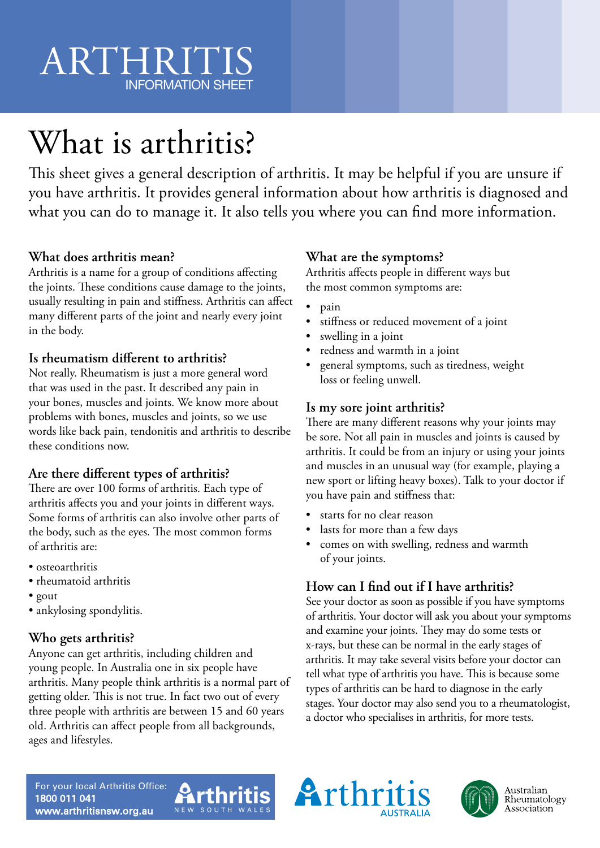# ARTHRITIS INFORMATION SHEET

# What is arthritis?

This sheet gives a general description of arthritis. It may be helpful if you are unsure if you have arthritis. It provides general information about how arthritis is diagnosed and what you can do to manage it. It also tells you where you can find more information.

# **What does arthritis mean?**

Arthritis is a name for a group of conditions affecting the joints. These conditions cause damage to the joints, usually resulting in pain and stiffness. Arthritis can affect many different parts of the joint and nearly every joint in the body.

### **Is rheumatism different to arthritis?**

Not really. Rheumatism is just a more general word that was used in the past. It described any pain in your bones, muscles and joints. We know more about problems with bones, muscles and joints, so we use words like back pain, tendonitis and arthritis to describe these conditions now.

# **Are there different types of arthritis?**

There are over 100 forms of arthritis. Each type of arthritis affects you and your joints in different ways. Some forms of arthritis can also involve other parts of the body, such as the eyes. The most common forms of arthritis are:

- osteoarthritis
- rheumatoid arthritis
- gout
- ankylosing spondylitis.

# **Who gets arthritis?**

Anyone can get arthritis, including children and young people. In Australia one in six people have arthritis. Many people think arthritis is a normal part of getting older. This is not true. In fact two out of every three people with arthritis are between 15 and 60 years old. Arthritis can affect people from all backgrounds, ages and lifestyles.

# **What are the symptoms?**

Arthritis affects people in different ways but the most common symptoms are:

- pain
- stiffness or reduced movement of a joint
- swelling in a joint
- redness and warmth in a joint
- general symptoms, such as tiredness, weight loss or feeling unwell.

### **Is my sore joint arthritis?**

There are many different reasons why your joints may be sore. Not all pain in muscles and joints is caused by arthritis. It could be from an injury or using your joints and muscles in an unusual way (for example, playing a new sport or lifting heavy boxes). Talk to your doctor if you have pain and stiffness that:

- starts for no clear reason
- lasts for more than a few days
- comes on with swelling, redness and warmth of your joints.

# **How can I find out if I have arthritis?**

See your doctor as soon as possible if you have symptoms of arthritis. Your doctor will ask you about your symptoms and examine your joints. They may do some tests or x-rays, but these can be normal in the early stages of arthritis. It may take several visits before your doctor can tell what type of arthritis you have. This is because some types of arthritis can be hard to diagnose in the early stages. Your doctor may also send you to a rheumatologist, a doctor who specialises in arthritis, for more tests.

For your local Arthritis Office: 1800 011 041 www.arthritisnsw.org.au





Australian Rheumatology Association